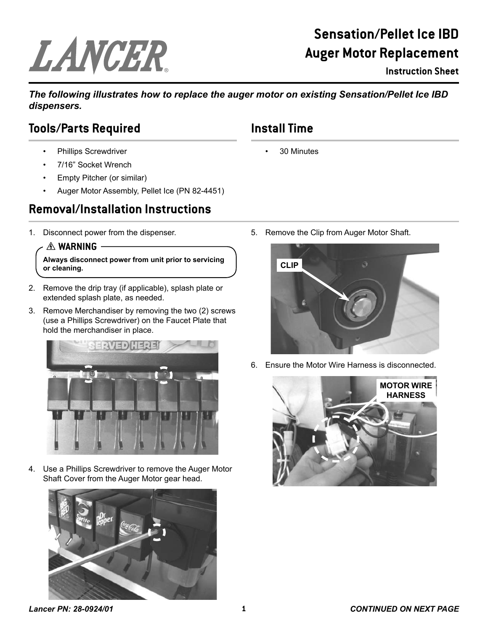# LANCER

## **Sensation/Pellet Ice IBD Auger Motor Replacement**

**Instruction Sheet**

*The following illustrates how to replace the auger motor on existing Sensation/Pellet Ice IBD dispensers.*

## **Tools/Parts Required**

- Phillips Screwdriver
- 7/16" Socket Wrench
- Empty Pitcher (or similar)
- Auger Motor Assembly, Pellet Ice (PN 82-4451)

## **Removal/Installation Instructions**

1. Disconnect power from the dispenser.

#### $A$  **WARNING**

**Always disconnect power from unit prior to servicing or cleaning.**

- 2. Remove the drip tray (if applicable), splash plate or extended splash plate, as needed.
- 3. Remove Merchandiser by removing the two (2) screws (use a Phillips Screwdriver) on the Faucet Plate that hold the merchandiser in place.



4. Use a Phillips Screwdriver to remove the Auger Motor Shaft Cover from the Auger Motor gear head.





6. Ensure the Motor Wire Harness is disconnected.



#### *Lancer PN: 28-0924/01* **1** *CONTINUED ON NEXT PAGE*

# **Install Time**

• 30 Minutes